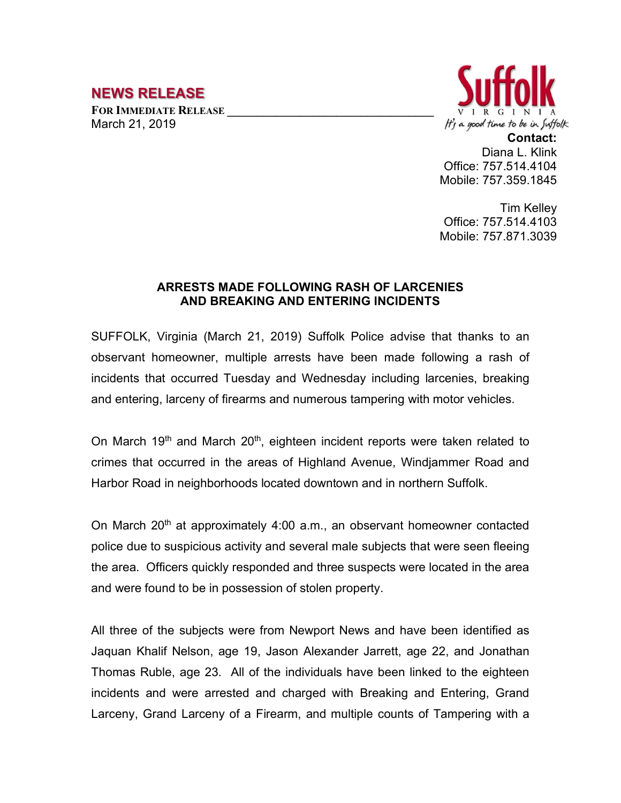## **NEWS RELEASE**

FOR **IMMEDIATE RELEASE** March 21, 2019



**Contact:** Diana L. Klink Office: 757.514.4104 Mobile: 757.359.1845

Tim Kelley Office: 757.514.4103 Mobile: 757.871.3039

## **ARRESTS MADE FOLLOWING RASH OF LARCENIES AND BREAKING AND ENTERING INCIDENTS**

SUFFOLK, Virginia (March 21, 2019) Suffolk Police advise that thanks to an observant homeowner, multiple arrests have been made following a rash of incidents that occurred Tuesday and Wednesday including larcenies, breaking and entering, larceny of firearms and numerous tampering with motor vehicles.

On March 19<sup>th</sup> and March 20<sup>th</sup>, eighteen incident reports were taken related to crimes that occurred in the areas of Highland Avenue, Windjammer Road and Harbor Road in neighborhoods located downtown and in northern Suffolk.

On March 20<sup>th</sup> at approximately 4:00 a.m., an observant homeowner contacted police due to suspicious activity and several male subjects that were seen fleeing the area. Officers quickly responded and three suspects were located in the area and were found to be in possession of stolen property.

All three of the subjects were from Newport News and have been identified as Jaquan Khalif Nelson, age 19, Jason Alexander Jarrett, age 22, and Jonathan Thomas Ruble, age 23. All of the individuals have been linked to the eighteen incidents and were arrested and charged with Breaking and Entering, Grand Larceny, Grand Larceny of a Firearm, and multiple counts of Tampering with a